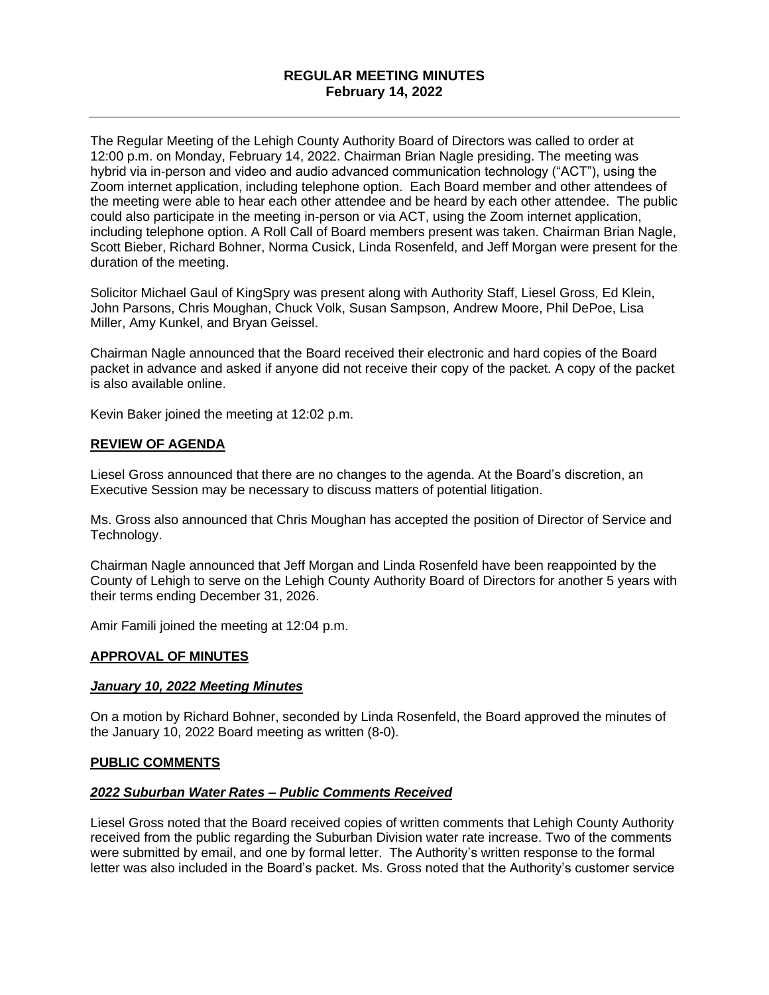# **REGULAR MEETING MINUTES February 14, 2022**

The Regular Meeting of the Lehigh County Authority Board of Directors was called to order at 12:00 p.m. on Monday, February 14, 2022. Chairman Brian Nagle presiding. The meeting was hybrid via in-person and video and audio advanced communication technology ("ACT"), using the Zoom internet application, including telephone option. Each Board member and other attendees of the meeting were able to hear each other attendee and be heard by each other attendee. The public could also participate in the meeting in-person or via ACT, using the Zoom internet application, including telephone option. A Roll Call of Board members present was taken. Chairman Brian Nagle, Scott Bieber, Richard Bohner, Norma Cusick, Linda Rosenfeld, and Jeff Morgan were present for the duration of the meeting.

Solicitor Michael Gaul of KingSpry was present along with Authority Staff, Liesel Gross, Ed Klein, John Parsons, Chris Moughan, Chuck Volk, Susan Sampson, Andrew Moore, Phil DePoe, Lisa Miller, Amy Kunkel, and Bryan Geissel.

Chairman Nagle announced that the Board received their electronic and hard copies of the Board packet in advance and asked if anyone did not receive their copy of the packet. A copy of the packet is also available online.

Kevin Baker joined the meeting at 12:02 p.m.

## **REVIEW OF AGENDA**

Liesel Gross announced that there are no changes to the agenda. At the Board's discretion, an Executive Session may be necessary to discuss matters of potential litigation.

Ms. Gross also announced that Chris Moughan has accepted the position of Director of Service and Technology.

Chairman Nagle announced that Jeff Morgan and Linda Rosenfeld have been reappointed by the County of Lehigh to serve on the Lehigh County Authority Board of Directors for another 5 years with their terms ending December 31, 2026.

Amir Famili joined the meeting at 12:04 p.m.

### **APPROVAL OF MINUTES**

#### *January 10, 2022 Meeting Minutes*

On a motion by Richard Bohner, seconded by Linda Rosenfeld, the Board approved the minutes of the January 10, 2022 Board meeting as written (8-0).

#### **PUBLIC COMMENTS**

#### *2022 Suburban Water Rates – Public Comments Received*

Liesel Gross noted that the Board received copies of written comments that Lehigh County Authority received from the public regarding the Suburban Division water rate increase. Two of the comments were submitted by email, and one by formal letter. The Authority's written response to the formal letter was also included in the Board's packet. Ms. Gross noted that the Authority's customer service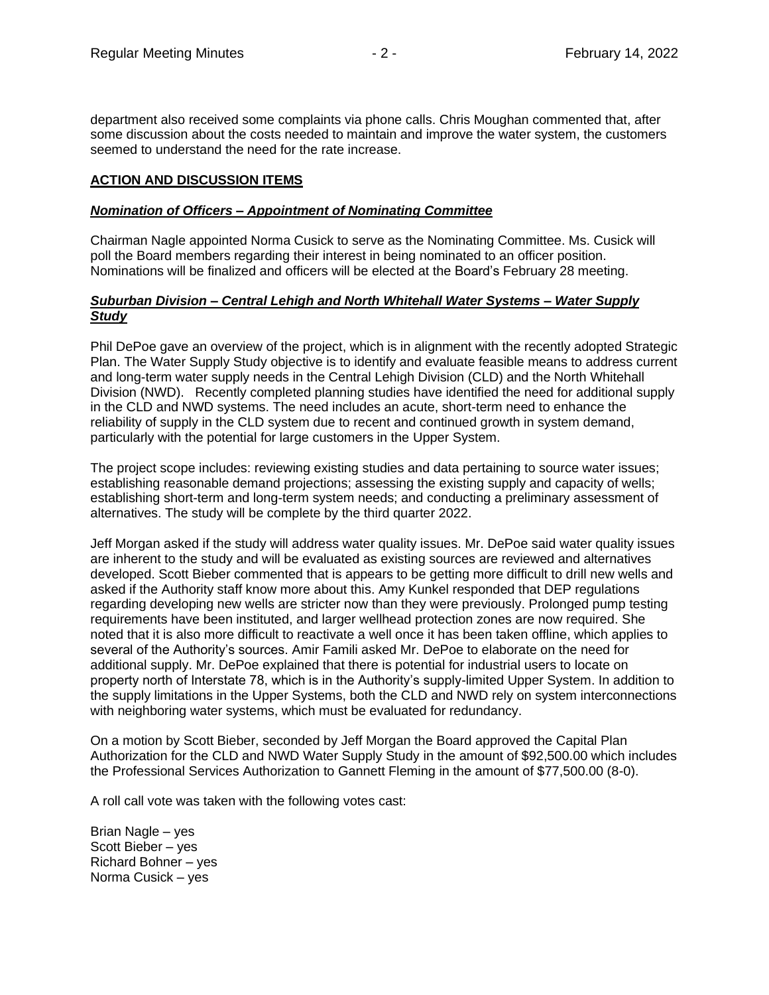department also received some complaints via phone calls. Chris Moughan commented that, after some discussion about the costs needed to maintain and improve the water system, the customers seemed to understand the need for the rate increase.

## **ACTION AND DISCUSSION ITEMS**

### *Nomination of Officers – Appointment of Nominating Committee*

Chairman Nagle appointed Norma Cusick to serve as the Nominating Committee. Ms. Cusick will poll the Board members regarding their interest in being nominated to an officer position. Nominations will be finalized and officers will be elected at the Board's February 28 meeting.

### *Suburban Division – Central Lehigh and North Whitehall Water Systems – Water Supply Study*

Phil DePoe gave an overview of the project, which is in alignment with the recently adopted Strategic Plan. The Water Supply Study objective is to identify and evaluate feasible means to address current and long-term water supply needs in the Central Lehigh Division (CLD) and the North Whitehall Division (NWD). Recently completed planning studies have identified the need for additional supply in the CLD and NWD systems. The need includes an acute, short-term need to enhance the reliability of supply in the CLD system due to recent and continued growth in system demand, particularly with the potential for large customers in the Upper System.

The project scope includes: reviewing existing studies and data pertaining to source water issues; establishing reasonable demand projections; assessing the existing supply and capacity of wells; establishing short-term and long-term system needs; and conducting a preliminary assessment of alternatives. The study will be complete by the third quarter 2022.

Jeff Morgan asked if the study will address water quality issues. Mr. DePoe said water quality issues are inherent to the study and will be evaluated as existing sources are reviewed and alternatives developed. Scott Bieber commented that is appears to be getting more difficult to drill new wells and asked if the Authority staff know more about this. Amy Kunkel responded that DEP regulations regarding developing new wells are stricter now than they were previously. Prolonged pump testing requirements have been instituted, and larger wellhead protection zones are now required. She noted that it is also more difficult to reactivate a well once it has been taken offline, which applies to several of the Authority's sources. Amir Famili asked Mr. DePoe to elaborate on the need for additional supply. Mr. DePoe explained that there is potential for industrial users to locate on property north of Interstate 78, which is in the Authority's supply-limited Upper System. In addition to the supply limitations in the Upper Systems, both the CLD and NWD rely on system interconnections with neighboring water systems, which must be evaluated for redundancy.

On a motion by Scott Bieber, seconded by Jeff Morgan the Board approved the Capital Plan Authorization for the CLD and NWD Water Supply Study in the amount of \$92,500.00 which includes the Professional Services Authorization to Gannett Fleming in the amount of \$77,500.00 (8-0).

A roll call vote was taken with the following votes cast:

Brian Nagle – yes Scott Bieber – yes Richard Bohner – yes Norma Cusick – yes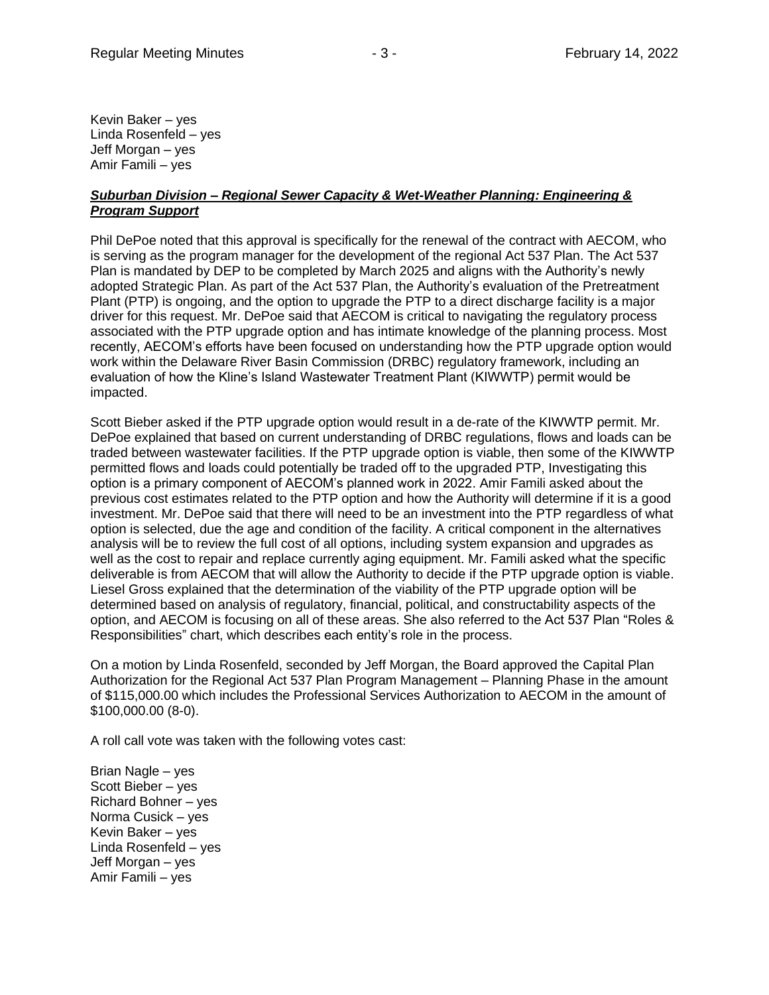Kevin Baker – yes Linda Rosenfeld – yes Jeff Morgan – yes Amir Famili – yes

### *Suburban Division – Regional Sewer Capacity & Wet-Weather Planning: Engineering & Program Support*

Phil DePoe noted that this approval is specifically for the renewal of the contract with AECOM, who is serving as the program manager for the development of the regional Act 537 Plan. The Act 537 Plan is mandated by DEP to be completed by March 2025 and aligns with the Authority's newly adopted Strategic Plan. As part of the Act 537 Plan, the Authority's evaluation of the Pretreatment Plant (PTP) is ongoing, and the option to upgrade the PTP to a direct discharge facility is a major driver for this request. Mr. DePoe said that AECOM is critical to navigating the regulatory process associated with the PTP upgrade option and has intimate knowledge of the planning process. Most recently, AECOM's efforts have been focused on understanding how the PTP upgrade option would work within the Delaware River Basin Commission (DRBC) regulatory framework, including an evaluation of how the Kline's Island Wastewater Treatment Plant (KIWWTP) permit would be impacted.

Scott Bieber asked if the PTP upgrade option would result in a de-rate of the KIWWTP permit. Mr. DePoe explained that based on current understanding of DRBC regulations, flows and loads can be traded between wastewater facilities. If the PTP upgrade option is viable, then some of the KIWWTP permitted flows and loads could potentially be traded off to the upgraded PTP, Investigating this option is a primary component of AECOM's planned work in 2022. Amir Famili asked about the previous cost estimates related to the PTP option and how the Authority will determine if it is a good investment. Mr. DePoe said that there will need to be an investment into the PTP regardless of what option is selected, due the age and condition of the facility. A critical component in the alternatives analysis will be to review the full cost of all options, including system expansion and upgrades as well as the cost to repair and replace currently aging equipment. Mr. Famili asked what the specific deliverable is from AECOM that will allow the Authority to decide if the PTP upgrade option is viable. Liesel Gross explained that the determination of the viability of the PTP upgrade option will be determined based on analysis of regulatory, financial, political, and constructability aspects of the option, and AECOM is focusing on all of these areas. She also referred to the Act 537 Plan "Roles & Responsibilities" chart, which describes each entity's role in the process.

On a motion by Linda Rosenfeld, seconded by Jeff Morgan, the Board approved the Capital Plan Authorization for the Regional Act 537 Plan Program Management – Planning Phase in the amount of \$115,000.00 which includes the Professional Services Authorization to AECOM in the amount of \$100,000.00 (8-0).

A roll call vote was taken with the following votes cast:

Brian Nagle – yes Scott Bieber – yes Richard Bohner – yes Norma Cusick – yes Kevin Baker – yes Linda Rosenfeld – yes Jeff Morgan – yes Amir Famili – yes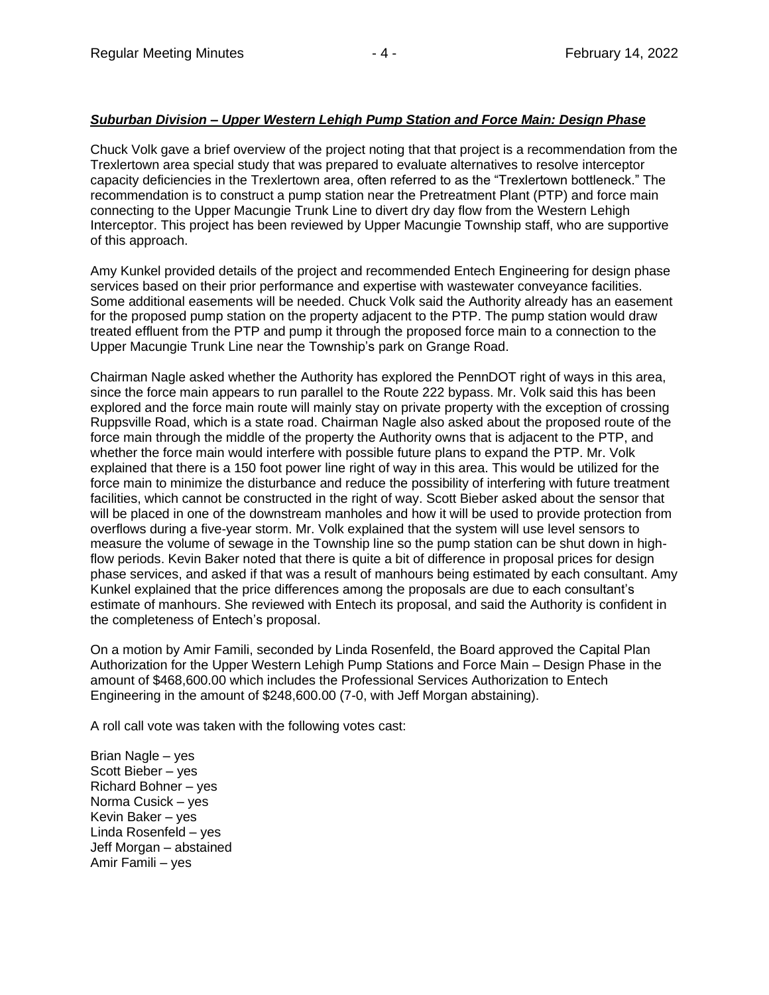## *Suburban Division – Upper Western Lehigh Pump Station and Force Main: Design Phase*

Chuck Volk gave a brief overview of the project noting that that project is a recommendation from the Trexlertown area special study that was prepared to evaluate alternatives to resolve interceptor capacity deficiencies in the Trexlertown area, often referred to as the "Trexlertown bottleneck." The recommendation is to construct a pump station near the Pretreatment Plant (PTP) and force main connecting to the Upper Macungie Trunk Line to divert dry day flow from the Western Lehigh Interceptor. This project has been reviewed by Upper Macungie Township staff, who are supportive of this approach.

Amy Kunkel provided details of the project and recommended Entech Engineering for design phase services based on their prior performance and expertise with wastewater conveyance facilities. Some additional easements will be needed. Chuck Volk said the Authority already has an easement for the proposed pump station on the property adjacent to the PTP. The pump station would draw treated effluent from the PTP and pump it through the proposed force main to a connection to the Upper Macungie Trunk Line near the Township's park on Grange Road.

Chairman Nagle asked whether the Authority has explored the PennDOT right of ways in this area, since the force main appears to run parallel to the Route 222 bypass. Mr. Volk said this has been explored and the force main route will mainly stay on private property with the exception of crossing Ruppsville Road, which is a state road. Chairman Nagle also asked about the proposed route of the force main through the middle of the property the Authority owns that is adjacent to the PTP, and whether the force main would interfere with possible future plans to expand the PTP. Mr. Volk explained that there is a 150 foot power line right of way in this area. This would be utilized for the force main to minimize the disturbance and reduce the possibility of interfering with future treatment facilities, which cannot be constructed in the right of way. Scott Bieber asked about the sensor that will be placed in one of the downstream manholes and how it will be used to provide protection from overflows during a five-year storm. Mr. Volk explained that the system will use level sensors to measure the volume of sewage in the Township line so the pump station can be shut down in highflow periods. Kevin Baker noted that there is quite a bit of difference in proposal prices for design phase services, and asked if that was a result of manhours being estimated by each consultant. Amy Kunkel explained that the price differences among the proposals are due to each consultant's estimate of manhours. She reviewed with Entech its proposal, and said the Authority is confident in the completeness of Entech's proposal.

On a motion by Amir Famili, seconded by Linda Rosenfeld, the Board approved the Capital Plan Authorization for the Upper Western Lehigh Pump Stations and Force Main – Design Phase in the amount of \$468,600.00 which includes the Professional Services Authorization to Entech Engineering in the amount of \$248,600.00 (7-0, with Jeff Morgan abstaining).

A roll call vote was taken with the following votes cast:

Brian Nagle – yes Scott Bieber – yes Richard Bohner – yes Norma Cusick – yes Kevin Baker – yes Linda Rosenfeld – yes Jeff Morgan – abstained Amir Famili – yes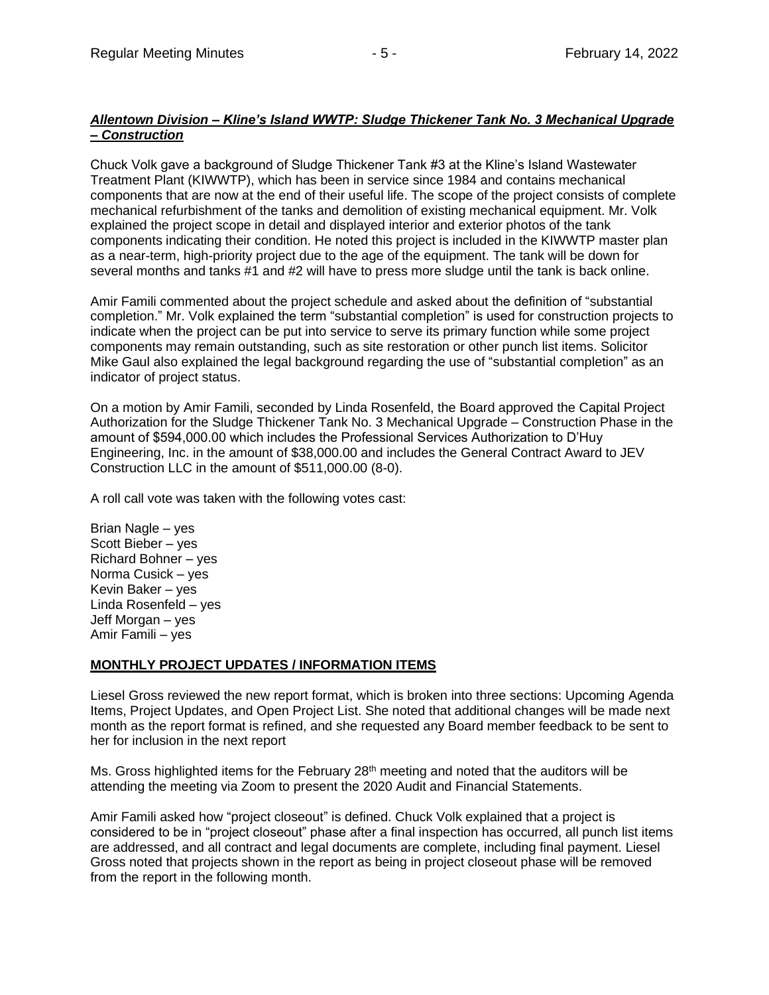## *Allentown Division – Kline's Island WWTP: Sludge Thickener Tank No. 3 Mechanical Upgrade – Construction*

Chuck Volk gave a background of Sludge Thickener Tank #3 at the Kline's Island Wastewater Treatment Plant (KIWWTP), which has been in service since 1984 and contains mechanical components that are now at the end of their useful life. The scope of the project consists of complete mechanical refurbishment of the tanks and demolition of existing mechanical equipment. Mr. Volk explained the project scope in detail and displayed interior and exterior photos of the tank components indicating their condition. He noted this project is included in the KIWWTP master plan as a near-term, high-priority project due to the age of the equipment. The tank will be down for several months and tanks #1 and #2 will have to press more sludge until the tank is back online.

Amir Famili commented about the project schedule and asked about the definition of "substantial completion." Mr. Volk explained the term "substantial completion" is used for construction projects to indicate when the project can be put into service to serve its primary function while some project components may remain outstanding, such as site restoration or other punch list items. Solicitor Mike Gaul also explained the legal background regarding the use of "substantial completion" as an indicator of project status.

On a motion by Amir Famili, seconded by Linda Rosenfeld, the Board approved the Capital Project Authorization for the Sludge Thickener Tank No. 3 Mechanical Upgrade – Construction Phase in the amount of \$594,000.00 which includes the Professional Services Authorization to D'Huy Engineering, Inc. in the amount of \$38,000.00 and includes the General Contract Award to JEV Construction LLC in the amount of \$511,000.00 (8-0).

A roll call vote was taken with the following votes cast:

Brian Nagle – yes Scott Bieber – yes Richard Bohner – yes Norma Cusick – yes Kevin Baker – yes Linda Rosenfeld – yes Jeff Morgan – yes Amir Famili – yes

### **MONTHLY PROJECT UPDATES / INFORMATION ITEMS**

Liesel Gross reviewed the new report format, which is broken into three sections: Upcoming Agenda Items, Project Updates, and Open Project List. She noted that additional changes will be made next month as the report format is refined, and she requested any Board member feedback to be sent to her for inclusion in the next report

Ms. Gross highlighted items for the February  $28<sup>th</sup>$  meeting and noted that the auditors will be attending the meeting via Zoom to present the 2020 Audit and Financial Statements.

Amir Famili asked how "project closeout" is defined. Chuck Volk explained that a project is considered to be in "project closeout" phase after a final inspection has occurred, all punch list items are addressed, and all contract and legal documents are complete, including final payment. Liesel Gross noted that projects shown in the report as being in project closeout phase will be removed from the report in the following month.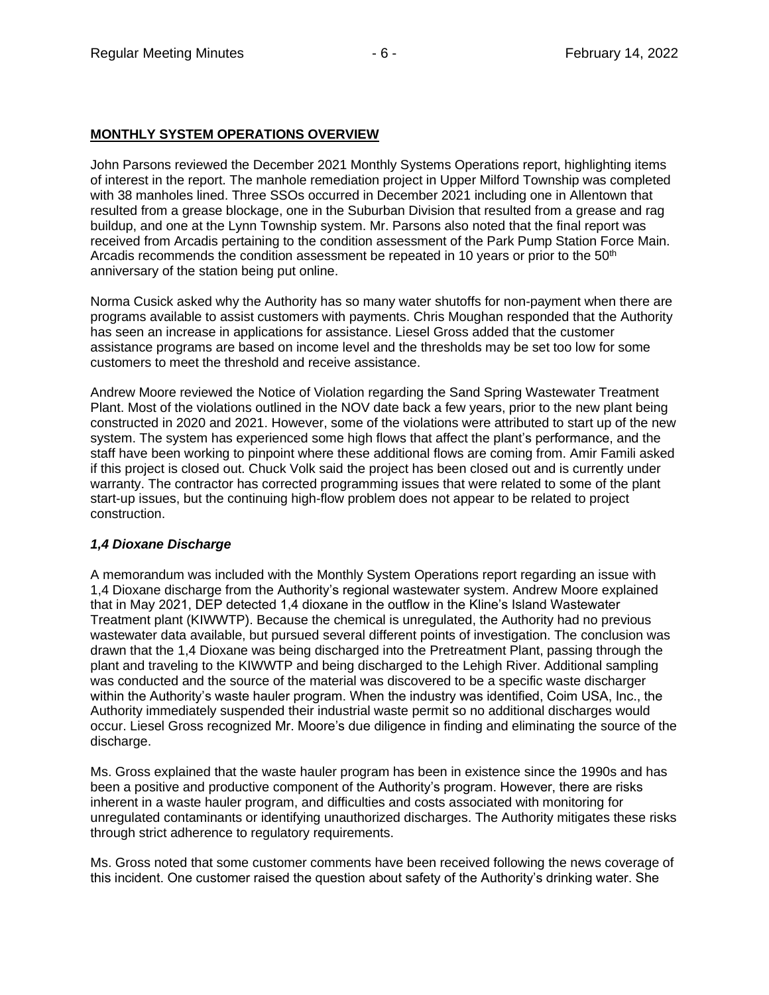# **MONTHLY SYSTEM OPERATIONS OVERVIEW**

John Parsons reviewed the December 2021 Monthly Systems Operations report, highlighting items of interest in the report. The manhole remediation project in Upper Milford Township was completed with 38 manholes lined. Three SSOs occurred in December 2021 including one in Allentown that resulted from a grease blockage, one in the Suburban Division that resulted from a grease and rag buildup, and one at the Lynn Township system. Mr. Parsons also noted that the final report was received from Arcadis pertaining to the condition assessment of the Park Pump Station Force Main. Arcadis recommends the condition assessment be repeated in 10 years or prior to the  $50<sup>th</sup>$ anniversary of the station being put online.

Norma Cusick asked why the Authority has so many water shutoffs for non-payment when there are programs available to assist customers with payments. Chris Moughan responded that the Authority has seen an increase in applications for assistance. Liesel Gross added that the customer assistance programs are based on income level and the thresholds may be set too low for some customers to meet the threshold and receive assistance.

Andrew Moore reviewed the Notice of Violation regarding the Sand Spring Wastewater Treatment Plant. Most of the violations outlined in the NOV date back a few years, prior to the new plant being constructed in 2020 and 2021. However, some of the violations were attributed to start up of the new system. The system has experienced some high flows that affect the plant's performance, and the staff have been working to pinpoint where these additional flows are coming from. Amir Famili asked if this project is closed out. Chuck Volk said the project has been closed out and is currently under warranty. The contractor has corrected programming issues that were related to some of the plant start-up issues, but the continuing high-flow problem does not appear to be related to project construction.

# *1,4 Dioxane Discharge*

A memorandum was included with the Monthly System Operations report regarding an issue with 1,4 Dioxane discharge from the Authority's regional wastewater system. Andrew Moore explained that in May 2021, DEP detected 1,4 dioxane in the outflow in the Kline's Island Wastewater Treatment plant (KIWWTP). Because the chemical is unregulated, the Authority had no previous wastewater data available, but pursued several different points of investigation. The conclusion was drawn that the 1,4 Dioxane was being discharged into the Pretreatment Plant, passing through the plant and traveling to the KIWWTP and being discharged to the Lehigh River. Additional sampling was conducted and the source of the material was discovered to be a specific waste discharger within the Authority's waste hauler program. When the industry was identified, Coim USA, Inc., the Authority immediately suspended their industrial waste permit so no additional discharges would occur. Liesel Gross recognized Mr. Moore's due diligence in finding and eliminating the source of the discharge.

Ms. Gross explained that the waste hauler program has been in existence since the 1990s and has been a positive and productive component of the Authority's program. However, there are risks inherent in a waste hauler program, and difficulties and costs associated with monitoring for unregulated contaminants or identifying unauthorized discharges. The Authority mitigates these risks through strict adherence to regulatory requirements.

Ms. Gross noted that some customer comments have been received following the news coverage of this incident. One customer raised the question about safety of the Authority's drinking water. She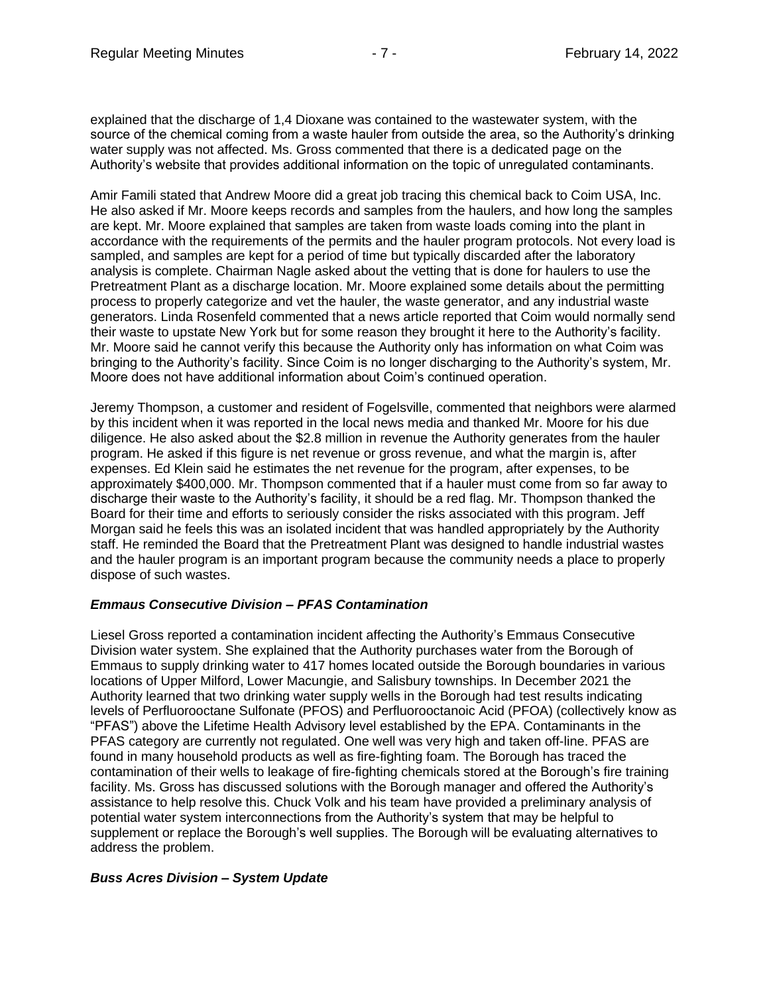explained that the discharge of 1,4 Dioxane was contained to the wastewater system, with the source of the chemical coming from a waste hauler from outside the area, so the Authority's drinking water supply was not affected. Ms. Gross commented that there is a dedicated page on the Authority's website that provides additional information on the topic of unregulated contaminants.

Amir Famili stated that Andrew Moore did a great job tracing this chemical back to Coim USA, Inc. He also asked if Mr. Moore keeps records and samples from the haulers, and how long the samples are kept. Mr. Moore explained that samples are taken from waste loads coming into the plant in accordance with the requirements of the permits and the hauler program protocols. Not every load is sampled, and samples are kept for a period of time but typically discarded after the laboratory analysis is complete. Chairman Nagle asked about the vetting that is done for haulers to use the Pretreatment Plant as a discharge location. Mr. Moore explained some details about the permitting process to properly categorize and vet the hauler, the waste generator, and any industrial waste generators. Linda Rosenfeld commented that a news article reported that Coim would normally send their waste to upstate New York but for some reason they brought it here to the Authority's facility. Mr. Moore said he cannot verify this because the Authority only has information on what Coim was bringing to the Authority's facility. Since Coim is no longer discharging to the Authority's system, Mr. Moore does not have additional information about Coim's continued operation.

Jeremy Thompson, a customer and resident of Fogelsville, commented that neighbors were alarmed by this incident when it was reported in the local news media and thanked Mr. Moore for his due diligence. He also asked about the \$2.8 million in revenue the Authority generates from the hauler program. He asked if this figure is net revenue or gross revenue, and what the margin is, after expenses. Ed Klein said he estimates the net revenue for the program, after expenses, to be approximately \$400,000. Mr. Thompson commented that if a hauler must come from so far away to discharge their waste to the Authority's facility, it should be a red flag. Mr. Thompson thanked the Board for their time and efforts to seriously consider the risks associated with this program. Jeff Morgan said he feels this was an isolated incident that was handled appropriately by the Authority staff. He reminded the Board that the Pretreatment Plant was designed to handle industrial wastes and the hauler program is an important program because the community needs a place to properly dispose of such wastes.

# *Emmaus Consecutive Division – PFAS Contamination*

Liesel Gross reported a contamination incident affecting the Authority's Emmaus Consecutive Division water system. She explained that the Authority purchases water from the Borough of Emmaus to supply drinking water to 417 homes located outside the Borough boundaries in various locations of Upper Milford, Lower Macungie, and Salisbury townships. In December 2021 the Authority learned that two drinking water supply wells in the Borough had test results indicating levels of Perfluorooctane Sulfonate (PFOS) and Perfluorooctanoic Acid (PFOA) (collectively know as "PFAS") above the Lifetime Health Advisory level established by the EPA. Contaminants in the PFAS category are currently not regulated. One well was very high and taken off-line. PFAS are found in many household products as well as fire-fighting foam. The Borough has traced the contamination of their wells to leakage of fire-fighting chemicals stored at the Borough's fire training facility. Ms. Gross has discussed solutions with the Borough manager and offered the Authority's assistance to help resolve this. Chuck Volk and his team have provided a preliminary analysis of potential water system interconnections from the Authority's system that may be helpful to supplement or replace the Borough's well supplies. The Borough will be evaluating alternatives to address the problem.

# *Buss Acres Division – System Update*